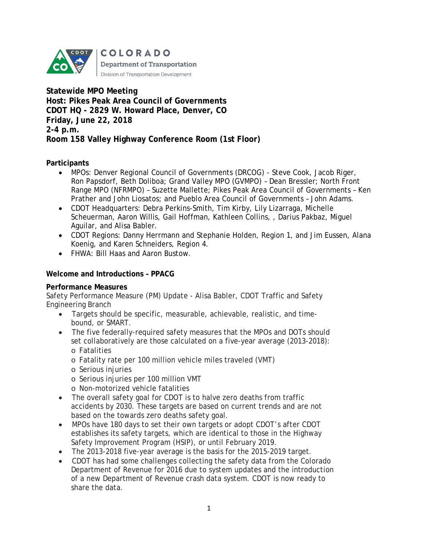

**Statewide MPO Meeting Host: Pikes Peak Area Council of Governments CDOT HQ - 2829 W. Howard Place, Denver, CO Friday, June 22, 2018 2-4 p.m. Room 158 Valley Highway Conference Room (1st Floor)**

#### **Participants**

- MPOs: Denver Regional Council of Governments (DRCOG) Steve Cook, Jacob Riger, Ron Papsdorf, Beth Doliboa; Grand Valley MPO (GVMPO) – Dean Bressler; North Front Range MPO (NFRMPO) – Suzette Mallette; Pikes Peak Area Council of Governments – Ken Prather and John Liosatos; and Pueblo Area Council of Governments – John Adams.
- CDOT Headquarters: Debra Perkins-Smith, Tim Kirby, Lily Lizarraga, Michelle Scheuerman, Aaron Willis, Gail Hoffman, Kathleen Collins, , Darius Pakbaz, Miguel Aguilar, and Alisa Babler.
- CDOT Regions: Danny Herrmann and Stephanie Holden, Region 1, and Jim Eussen, Alana Koenig, and Karen Schneiders, Region 4.
- FHWA: Bill Haas and Aaron Bustow.

#### **Welcome and Introductions – PPACG**

#### **Performance Measures**

Safety Performance Measure (PM) Update - Alisa Babler, CDOT Traffic and Safety Engineering Branch

- Targets should be specific, measurable, achievable, realistic, and timebound, or SMART.
- The five federally-required safety measures that the MPOs and DOTs should set collaboratively are those calculated on a five-year average (2013-2018): o Fatalities
	- o Fatality rate per 100 million vehicle miles traveled (VMT)
	- o Serious injuries
	- o Serious injuries per 100 million VMT
	- o Non-motorized vehicle fatalities
- The overall safety goal for CDOT is to halve zero deaths from traffic accidents by 2030. These targets are based on current trends and are not based on the towards zero deaths safety goal.
- MPOs have 180 days to set their own targets or adopt CDOT's after CDOT establishes its safety targets, which are identical to those in the Highway Safety Improvement Program (HSIP), or until February 2019.
- The 2013-2018 five-year average is the basis for the 2015-2019 target.
- CDOT has had some challenges collecting the safety data from the Colorado Department of Revenue for 2016 due to system updates and the introduction of a new Department of Revenue crash data system. CDOT is now ready to share the data.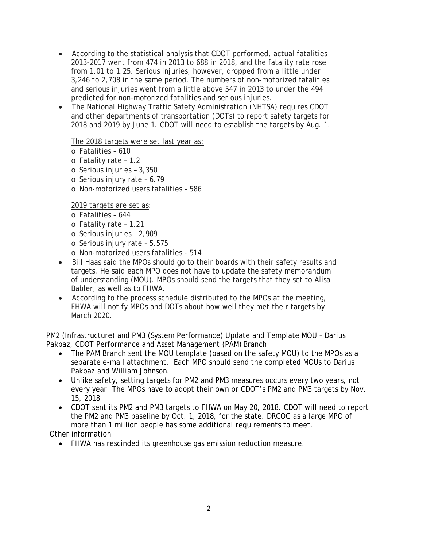- According to the statistical analysis that CDOT performed, actual fatalities 2013-2017 went from 474 in 2013 to 688 in 2018, and the fatality rate rose from 1.01 to 1.25. Serious injuries, however, dropped from a little under 3,246 to 2,708 in the same period. The numbers of non-motorized fatalities and serious injuries went from a little above 547 in 2013 to under the 494 predicted for non-motorized fatalities and serious injuries.
- The National Highway Traffic Safety Administration (NHTSA) requires CDOT and other departments of transportation (DOTs) to report safety targets for 2018 and 2019 by June 1. CDOT will need to establish the targets by Aug. 1.

#### The 2018 targets were set last year as:

- o Fatalities 610
- o Fatality rate 1.2
- o Serious injuries 3,350
- o Serious injury rate 6.79
- o Non-motorized users fatalities 586

2019 targets are set as:

- o Fatalities 644
- o Fatality rate 1.21
- o Serious injuries 2,909
- o Serious injury rate 5.575
- o Non-motorized users fatalities 514
- Bill Haas said the MPOs should go to their boards with their safety results and targets. He said each MPO does not have to update the safety memorandum of understanding (MOU). MPOs should send the targets that they set to Alisa Babler, as well as to FHWA.
- According to the process schedule distributed to the MPOs at the meeting, FHWA will notify MPOs and DOTs about how well they met their targets by March 2020.

PM2 (Infrastructure) and PM3 (System Performance) Update and Template MOU – Darius Pakbaz, CDOT Performance and Asset Management (PAM) Branch

- The PAM Branch sent the MOU template (based on the safety MOU) to the MPOs as a separate e-mail attachment. Each MPO should send the completed MOUs to Darius Pakbaz and William Johnson.
- Unlike safety, setting targets for PM2 and PM3 measures occurs every two years, not every year. The MPOs have to adopt their own or CDOT's PM2 and PM3 targets by Nov. 15, 2018.
- CDOT sent its PM2 and PM3 targets to FHWA on May 20, 2018. CDOT will need to report the PM2 and PM3 baseline by Oct. 1, 2018, for the state. DRCOG as a large MPO of more than 1 million people has some additional requirements to meet.

Other information

• FHWA has rescinded its greenhouse gas emission reduction measure.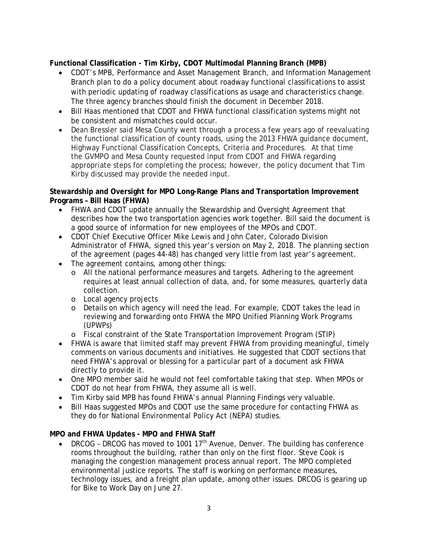# **Functional Classification - Tim Kirby, CDOT Multimodal Planning Branch (MPB)**

- CDOT's MPB, Performance and Asset Management Branch, and Information Management Branch plan to do a policy document about roadway functional classifications to assist with periodic updating of roadway classifications as usage and characteristics change. The three agency branches should finish the document in December 2018.
- Bill Haas mentioned that CDOT and FHWA functional classification systems might not be consistent and mismatches could occur.
- Dean Bressler said Mesa County went through a process a few years ago of reevaluating the functional classification of county roads, using the 2013 FHWA guidance document, Highway Functional Classification Concepts, Criteria and Procedures. At that time the GVMPO and Mesa County requested input from CDOT and FHWA regarding appropriate steps for completing the process; however, the policy document that Tim Kirby discussed may provide the needed input.

#### **Stewardship and Oversight for MPO Long-Range Plans and Transportation Improvement Programs – Bill Haas (FHWA)**

- FHWA and CDOT update annually the Stewardship and Oversight Agreement that describes how the two transportation agencies work together. Bill said the document is a good source of information for new employees of the MPOs and CDOT.
- CDOT Chief Executive Officer Mike Lewis and John Cater, Colorado Division Administrator of FHWA, signed this year's version on May 2, 2018. The planning section of the agreement (pages 44-48) has changed very little from last year's agreement.
- The agreement contains, among other things:
	- o All the national performance measures and targets. Adhering to the agreement requires at least annual collection of data, and, for some measures, quarterly data collection.
	- o Local agency projects
	- o Details on which agency will need the lead. For example, CDOT takes the lead in reviewing and forwarding onto FHWA the MPO Unified Planning Work Programs (UPWPs)
	- o Fiscal constraint of the State Transportation Improvement Program (STIP)
- FHWA is aware that limited staff may prevent FHWA from providing meaningful, timely comments on various documents and initiatives. He suggested that CDOT sections that need FHWA's approval or blessing for a particular part of a document ask FHWA directly to provide it.
- One MPO member said he would not feel comfortable taking that step. When MPOs or CDOT do not hear from FHWA, they assume all is well.
- Tim Kirby said MPB has found FHWA's annual Planning Findings very valuable.
- Bill Haas suggested MPOs and CDOT use the same procedure for contacting FHWA as they do for National Environmental Policy Act (NEPA) studies.

# **MPO and FHWA Updates - MPO and FHWA Staff**

• DRCOG - DRCOG has moved to 1001  $17<sup>th</sup>$  Avenue, Denver. The building has conference rooms throughout the building, rather than only on the first floor. Steve Cook is managing the congestion management process annual report. The MPO completed environmental justice reports. The staff is working on performance measures, technology issues, and a freight plan update, among other issues. DRCOG is gearing up for Bike to Work Day on June 27.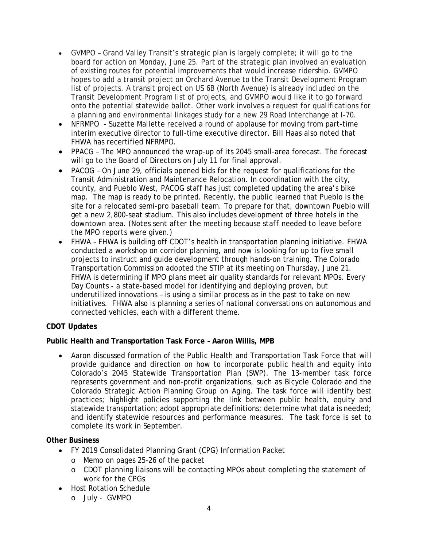- GVMPO Grand Valley Transit's strategic plan is largely complete; it will go to the board for action on Monday, June 25. Part of the strategic plan involved an evaluation of existing routes for potential improvements that would increase ridership. GVMPO hopes to add a transit project on Orchard Avenue to the Transit Development Program list of projects. A transit project on US 6B (North Avenue) is already included on the Transit Development Program list of projects, and GVMPO would like it to go forward onto the potential statewide ballot. Other work involves a request for qualifications for a planning and environmental linkages study for a new 29 Road Interchange at I-70.
- NFRMPO Suzette Mallette received a round of applause for moving from part-time interim executive director to full-time executive director. Bill Haas also noted that FHWA has recertified NFRMPO.
- PPACG The MPO announced the wrap-up of its 2045 small-area forecast. The forecast will go to the Board of Directors on July 11 for final approval.
- PACOG On June 29, officials opened bids for the request for qualifications for the Transit Administration and Maintenance Relocation. In coordination with the city, county, and Pueblo West, PACOG staff has just completed updating the area's bike map. The map is ready to be printed. Recently, the public learned that Pueblo is the site for a relocated semi-pro baseball team. To prepare for that, downtown Pueblo will get a new 2,800-seat stadium. This also includes development of three hotels in the downtown area. (*Notes sent after the meeting because staff needed to leave before the MPO reports were given*.)
- FHWA FHWA is building off CDOT's health in transportation planning initiative. FHWA conducted a workshop on corridor planning, and now is looking for up to five small projects to instruct and guide development through hands-on training. The Colorado Transportation Commission adopted the STIP at its meeting on Thursday, June 21. FHWA is determining if MPO plans meet air quality standards for relevant MPOs. Every Day Counts - a state-based model for identifying and deploying proven, but underutilized innovations – is using a similar process as in the past to take on new initiatives. FHWA also is planning a series of national conversations on autonomous and connected vehicles, each with a different theme.

# **CDOT Updates**

# **Public Health and Transportation Task Force – Aaron Willis, MPB**

• Aaron discussed formation of the Public Health and Transportation Task Force that will provide guidance and direction on how to incorporate public health and equity into Colorado's 2045 Statewide Transportation Plan (SWP). The 13-member task force represents government and non-profit organizations, such as Bicycle Colorado and the Colorado Strategic Action Planning Group on Aging. The task force will identify best practices; highlight policies supporting the link between public health, equity and statewide transportation; adopt appropriate definitions; determine what data is needed; and identify statewide resources and performance measures. The task force is set to complete its work in September.

# **Other Business**

- FY 2019 Consolidated Planning Grant (CPG) Information Packet
	- o Memo on pages 25-26 of the packet
	- o CDOT planning liaisons will be contacting MPOs about completing the statement of work for the CPGs
- Host Rotation Schedule
	- o July GVMPO